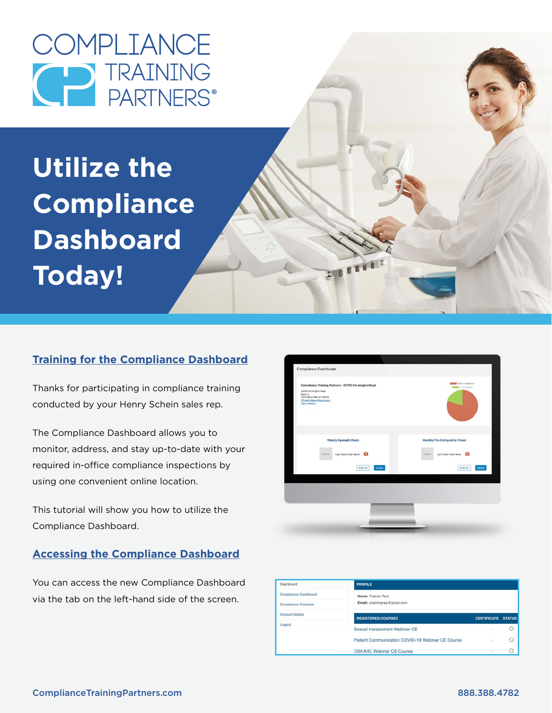COMPLIANCE D TRAINING<br>PARTNERS®

**Utilize the Compliance Dashboard Today!**

## **Training for the Compliance Dashboard**

Thanks for participating in compliance training conducted by your Henry Schein sales rep.

The Compliance Dashboard allows you to monitor, address, and stay up-to-date with your required in-office compliance inspections by using one convenient online location.

This tutorial will show you how to utilize the Compliance Dashboard.

#### **Accessing the Compliance Dashboard**

You can access the new Compliance Dashboard via the tab on the left-hand side of the screen.



2 1 1 1 1

| Dashboard            | <b>PROFILE</b>                                   |                    |               |
|----------------------|--------------------------------------------------|--------------------|---------------|
| Compliance Dashboard | Name: Trainee Test                               |                    |               |
| Compliance Checklist | Email: ctrainingrep@gmail.com                    |                    |               |
| Account details      | <b>REGISTERED COURSES</b>                        | <b>CERTIFICATE</b> | <b>STATUS</b> |
| Logout               | Sexual Harassment Webinar CE                     |                    |               |
|                      | Patient Communication COVID-19 Webinar CE Course | $\sim$             |               |
|                      | <b>OSHA/IC Webinar CE Course</b>                 | ٠                  |               |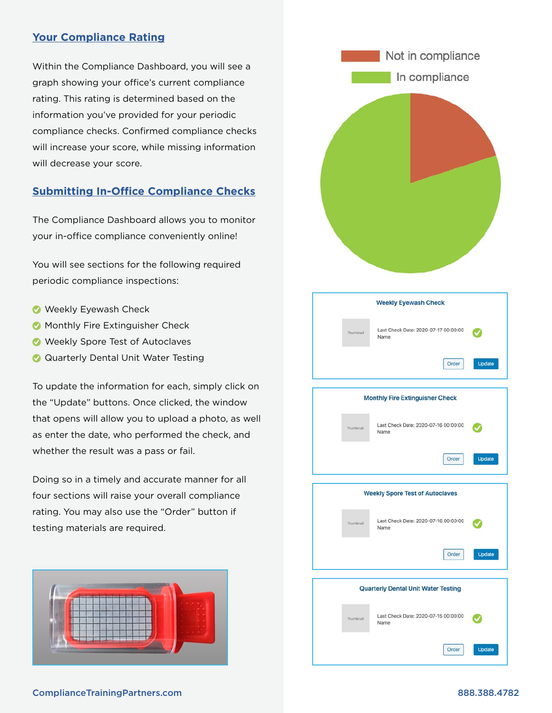#### **Your Compliance Rating**

Within the Compliance Dashboard, you will see a graph showing your office's current compliance rating. This rating is determined based on the information you've provided for your periodic compliance checks. Confirmed compliance checks will increase your score, while missing information will decrease your score.

### **Submitting In-Office Compliance Checks**

The Compliance Dashboard allows you to monitor your in-office compliance conveniently online!

You will see sections for the following required periodic compliance inspections:

- Weekly Eyewash Check
- **Monthly Fire Extinguisher Check**
- Weekly Spore Test of Autoclaves
- **Q** Quarterly Dental Unit Water Testing

To update the information for each, simply click on the "Update" buttons. Once clicked, the window that opens will allow you to upload a photo, as well as enter the date, who performed the check, and whether the result was a pass or fail.

Doing so in a timely and accurate manner for all four sections will raise your overall compliance rating. You may also use the "Order" button if testing materials are required.





#### ComplianceTrainingPartners.com 888.388.4782